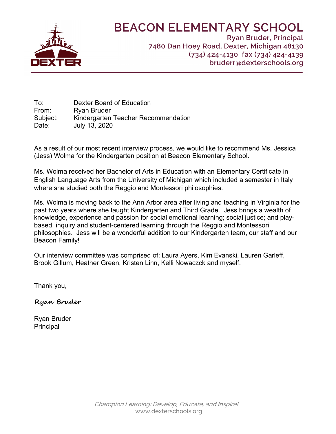

# **BEACON ELEMENTARY SCHOOL**

**Ryan Bruder, Principal** 7480 Dan Hoey Road, Dexter, Michigan 48130 (734) 424-4130 fax (734) 424-4139 bruderr@dexterschools.org

To: Dexter Board of Education From: Ryan Bruder Subject: Kindergarten Teacher Recommendation Date: July 13, 2020

As a result of our most recent interview process, we would like to recommend Ms. Jessica (Jess) Wolma for the Kindergarten position at Beacon Elementary School.

Ms. Wolma received her Bachelor of Arts in Education with an Elementary Certificate in English Language Arts from the University of Michigan which included a semester in Italy where she studied both the Reggio and Montessori philosophies.

Ms. Wolma is moving back to the Ann Arbor area after living and teaching in Virginia for the past two years where she taught Kindergarten and Third Grade. Jess brings a wealth of knowledge, experience and passion for social emotional learning; social justice; and playbased, inquiry and student-centered learning through the Reggio and Montessori philosophies. Jess will be a wonderful addition to our Kindergarten team, our staff and our Beacon Family!

Our interview committee was comprised of: Laura Ayers, Kim Evanski, Lauren Garleff, Brook Gillum, Heather Green, Kristen Linn, Kelli Nowaczck and myself.

Thank you,

**Ryan Bruder** 

Ryan Bruder **Principal**